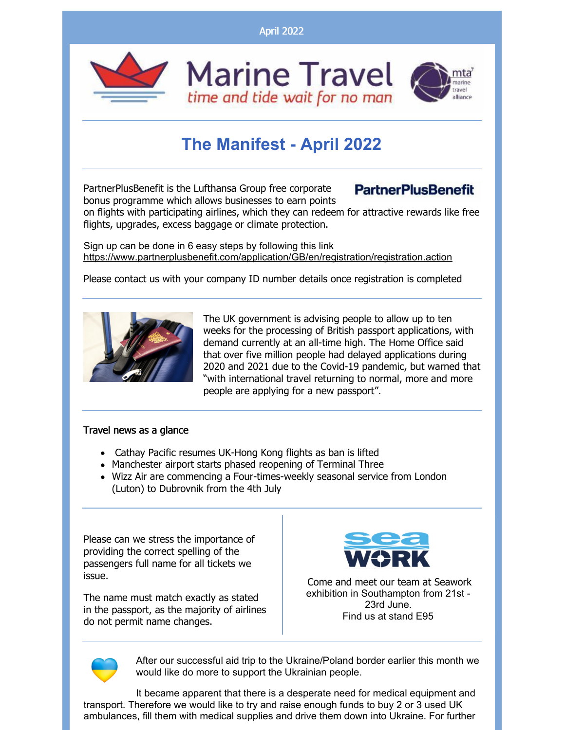April 2022



## **The Manifest - April 2022**

PartnerPlusBenefit is the Lufthansa Group free corporate bonus programme which allows businesses to earn points

## **PartnerPlusBenefit**

on flights with participating airlines, which they can redeem for attractive rewards like free flights, upgrades, excess baggage or climate protection.

Sign up can be done in 6 easy steps by following this link <https://www.partnerplusbenefit.com/application/GB/en/registration/registration.action>

Please contact us with your company ID number details once registration is completed



The UK government is advising people to allow up to ten weeks for the processing of British passport applications, with demand currently at an all-time high. The Home Office said that over five million people had delayed applications during 2020 and 2021 due to the Covid-19 pandemic, but warned that "with international travel returning to normal, more and more people are applying for a new passport".

## Travel news as a glance

- Cathay Pacific resumes UK-Hong Kong flights as ban is lifted
- Manchester airport starts phased reopening of Terminal Three
- Wizz Air are commencing a Four-times-weekly seasonal service from London (Luton) to Dubrovnik from the 4th July

Please can we stress the importance of providing the correct spelling of the passengers full name for all tickets we issue.

The name must match exactly as stated in the passport, as the majority of airlines do not permit name changes.



Come and meet our team at Seawork exhibition in Southampton from 21st - 23rd June. Find us at stand E95



After our successful aid trip to the Ukraine/Poland border earlier this month we would like do more to support the Ukrainian people.

It became apparent that there is a desperate need for medical equipment and transport. Therefore we would like to try and raise enough funds to buy 2 or 3 used UK ambulances, fill them with medical supplies and drive them down into Ukraine. For further